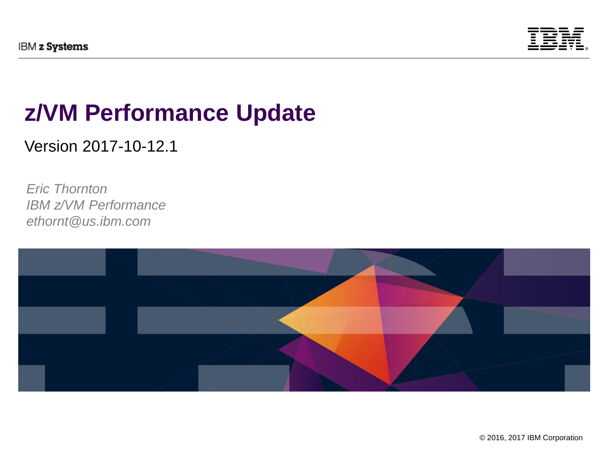

## **z/VM Performance Update**

Version 2017-10-12.1

*Eric Thornton IBM z/VM Performance ethornt@us.ibm.com*

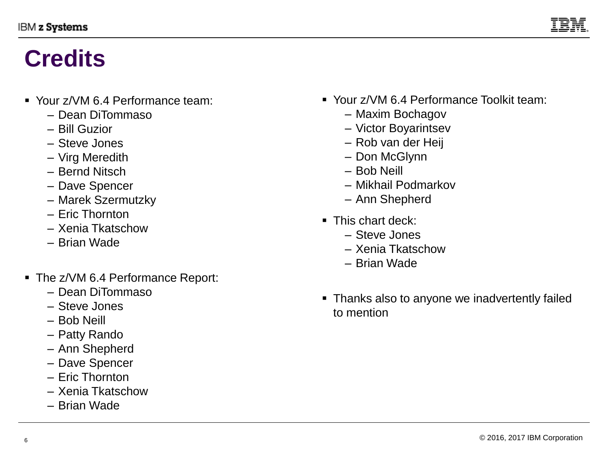

## **Credits**

- Your z/VM 6.4 Performance team:
	- Dean DiTommaso
	- Bill Guzior
	- Steve Jones
	- Virg Meredith
	- Bernd Nitsch
	- Dave Spencer
	- Marek Szermutzky
	- Eric Thornton
	- Xenia Tkatschow
	- Brian Wade
- The z/VM 6.4 Performance Report:
	- Dean DiTommaso
	- Steve Jones
	- Bob Neill
	- Patty Rando
	- Ann Shepherd
	- Dave Spencer
	- Eric Thornton
	- Xenia Tkatschow
	- Brian Wade
- Your z/VM 6.4 Performance Toolkit team:
	- Maxim Bochagov
	- Victor Boyarintsev
	- Rob van der Heij
	- Don McGlynn
	- Bob Neill
	- Mikhail Podmarkov
	- Ann Shepherd
- This chart deck:
	- Steve Jones
	- Xenia Tkatschow
	- Brian Wade
- Thanks also to anyone we inadvertently failed to mention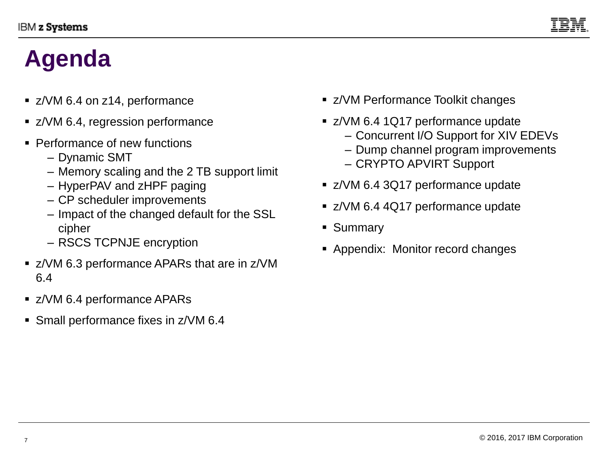

# **Agenda**

- z/VM 6.4 on z14, performance
- z/VM 6.4, regression performance
- Performance of new functions
	- Dynamic SMT
	- Memory scaling and the 2 TB support limit
	- HyperPAV and zHPF paging
	- CP scheduler improvements
	- Impact of the changed default for the SSL cipher
	- RSCS TCPNJE encryption
- z/VM 6.3 performance APARs that are in z/VM 6.4
- z/VM 6.4 performance APARs
- Small performance fixes in z/VM 6.4
- z/VM Performance Toolkit changes
- z/VM 6.4 1Q17 performance update
	- Concurrent I/O Support for XIV EDEVs
	- Dump channel program improvements
	- CRYPTO APVIRT Support
- z/VM 6.4 3Q17 performance update
- z/VM 6.4 4Q17 performance update
- Summary
- Appendix: Monitor record changes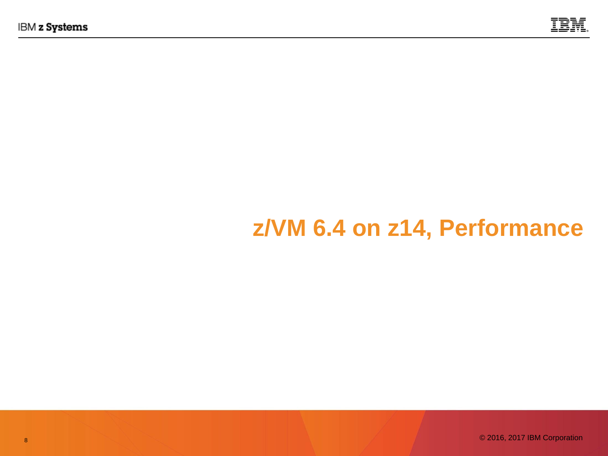

# **z/VM 6.4 on z14, Performance**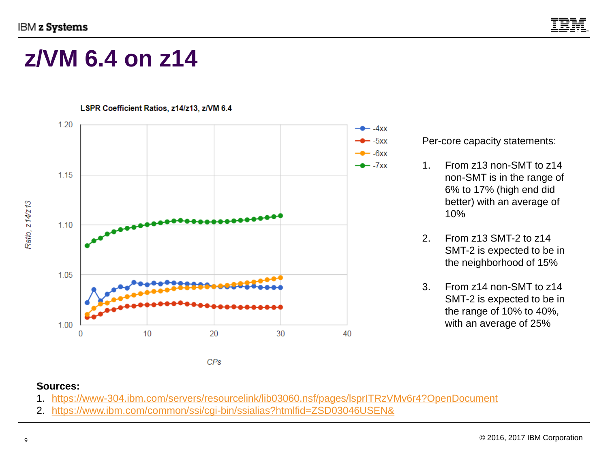

## **z/VM 6.4 on z14**



#### Per-core capacity statements:

- 1. From z13 non-SMT to z14 non-SMT is in the range of 6% to 17% (high end did better) with an average of 10%
- 2. From z13 SMT-2 to z14 SMT-2 is expected to be in the neighborhood of 15%
- 3. From z14 non-SMT to z14 SMT-2 is expected to be in the range of 10% to 40%, with an average of 25%

#### **Sources:**

- 1. <https://www-304.ibm.com/servers/resourcelink/lib03060.nsf/pages/lsprITRzVMv6r4?OpenDocument>
- 2. <https://www.ibm.com/common/ssi/cgi-bin/ssialias?htmlfid=ZSD03046USEN&>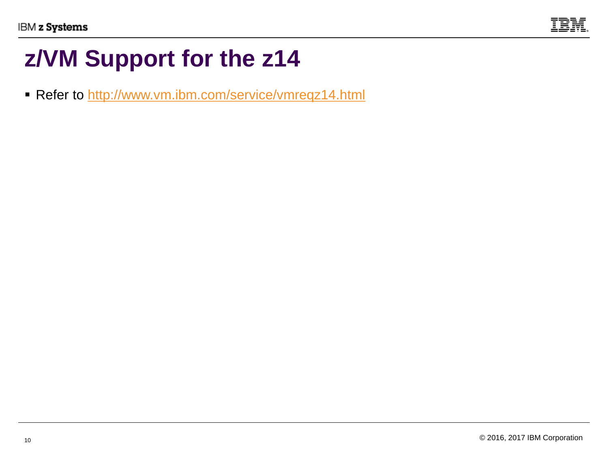

## **z/VM Support for the z14**

■ Refer to <http://www.vm.ibm.com/service/vmreqz14.html>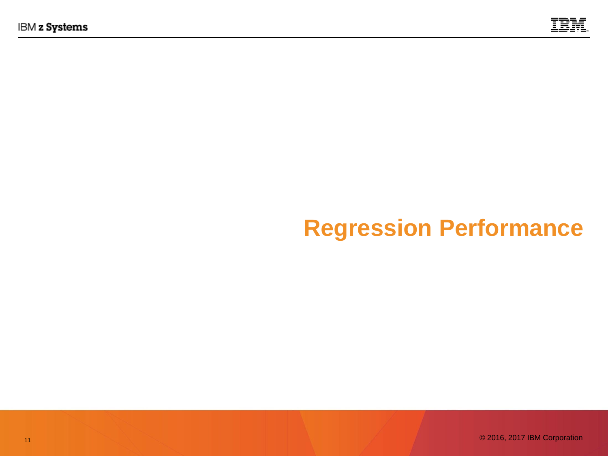

## **Regression Performance**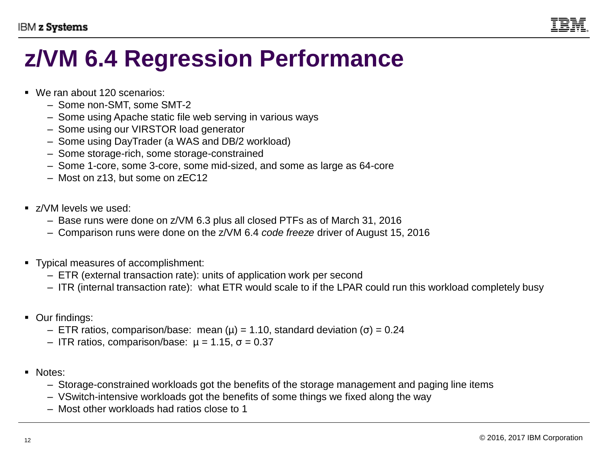

## **z/VM 6.4 Regression Performance**

- We ran about 120 scenarios:
	- Some non-SMT, some SMT-2
	- Some using Apache static file web serving in various ways
	- Some using our VIRSTOR load generator
	- Some using DayTrader (a WAS and DB/2 workload)
	- Some storage-rich, some storage-constrained
	- Some 1-core, some 3-core, some mid-sized, and some as large as 64-core
	- Most on z13, but some on zEC12
- z/VM levels we used:
	- Base runs were done on z/VM 6.3 plus all closed PTFs as of March 31, 2016
	- Comparison runs were done on the z/VM 6.4 *code freeze* driver of August 15, 2016
- Typical measures of accomplishment:
	- ETR (external transaction rate): units of application work per second
	- ITR (internal transaction rate): what ETR would scale to if the LPAR could run this workload completely busy
- Our findings:
	- ETR ratios, comparison/base: mean (µ) = 1.10, standard deviation (σ) = 0.24
	- ITR ratios, comparison/base: µ = 1.15, σ = 0.37
- Notes:
	- Storage-constrained workloads got the benefits of the storage management and paging line items
	- VSwitch-intensive workloads got the benefits of some things we fixed along the way
	- Most other workloads had ratios close to 1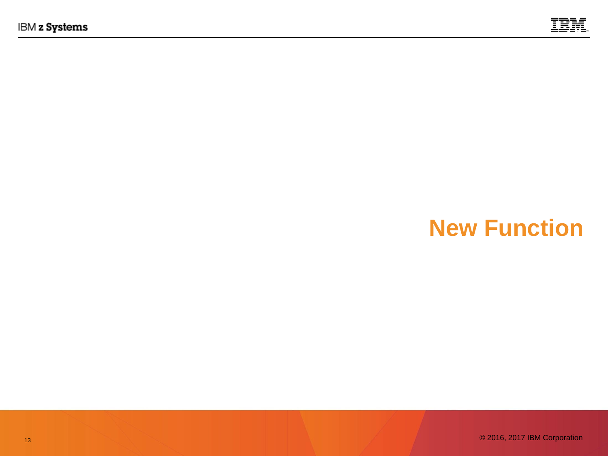

## **New Function**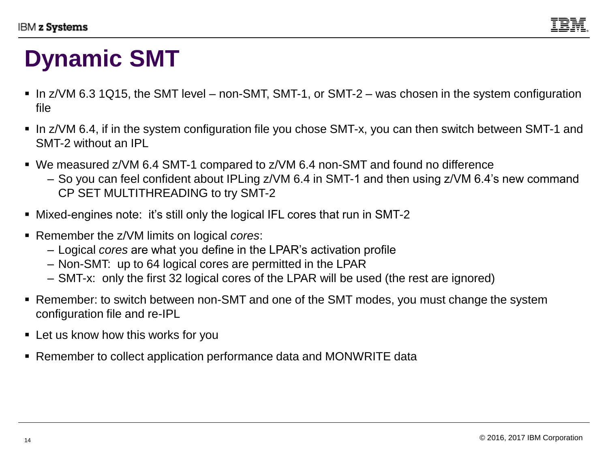

## **Dynamic SMT**

- $\blacksquare$  In z/VM 6.3 1Q15, the SMT level non-SMT, SMT-1, or SMT-2 was chosen in the system configuration file
- In z/VM 6.4, if in the system configuration file you chose SMT-x, you can then switch between SMT-1 and SMT-2 without an IPL
- We measured z/VM 6.4 SMT-1 compared to z/VM 6.4 non-SMT and found no difference
	- So you can feel confident about IPLing z/VM 6.4 in SMT-1 and then using z/VM 6.4's new command CP SET MULTITHREADING to try SMT-2
- Mixed-engines note: it's still only the logical IFL cores that run in SMT-2
- Remember the z/VM limits on logical *cores*:
	- Logical *cores* are what you define in the LPAR's activation profile
	- Non-SMT: up to 64 logical cores are permitted in the LPAR
	- SMT-x: only the first 32 logical cores of the LPAR will be used (the rest are ignored)
- Remember: to switch between non-SMT and one of the SMT modes, you must change the system configuration file and re-IPL
- Let us know how this works for you
- Remember to collect application performance data and MONWRITE data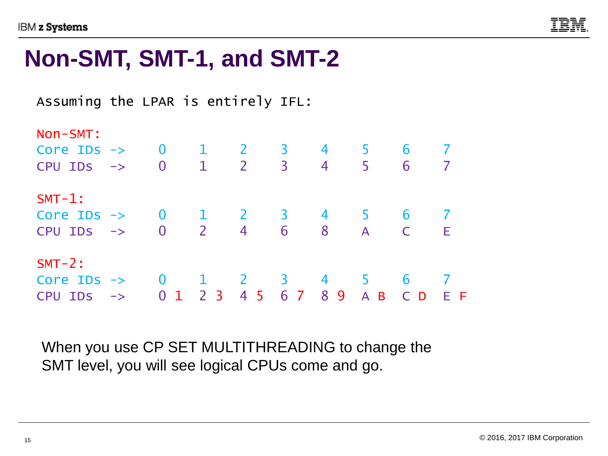

### **Non-SMT, SMT-1, and SMT-2**

Assuming the LPAR is entirely IFL:

| Non-SMT:                        |               |                                        |                |                |                            |                |              |     |     |
|---------------------------------|---------------|----------------------------------------|----------------|----------------|----------------------------|----------------|--------------|-----|-----|
| Core $\text{IDS} \rightarrow 0$ |               |                                        | $\mathbf{1}$   | $\overline{2}$ | $\overline{\phantom{0}}$ 3 | $\overline{4}$ | $\mathbf b$  | 6   |     |
| <b>CPU IDS</b>                  | $\rightarrow$ | $\overline{0}$                         | $\mathbf{1}$   | $\overline{2}$ | $\overline{3}$             | 4              | 5            | 6   |     |
| $SMT-1$ :                       |               |                                        |                |                |                            |                |              |     |     |
| Core IDs $\rightarrow$ 0 1      |               |                                        |                | $\overline{2}$ | $\overline{\mathbf{3}}$    | $\overline{4}$ |              | 6   |     |
| CPU IDS                         | $\rightarrow$ | $\overline{\phantom{a}}$ 2<br>$\bf{0}$ |                | 4              | 6                          | -8             | $\mathsf{A}$ |     | Е   |
| $SMT-2$ :                       |               |                                        |                |                |                            |                |              |     |     |
| Core IDs $\rightarrow$          |               | $\overline{\mathbf{0}}$                |                | $\mathbf{Z}$   | $\overline{\mathbf{3}}$    | 4              |              | 6   |     |
| <b>CPU IDS</b>                  | $\rightarrow$ | 0 <sub>1</sub>                         | 2 <sub>3</sub> | 45             | 6 7                        | 89             | A B          | C D | E F |

When you use CP SET MULTITHREADING to change the SMT level, you will see logical CPUs come and go.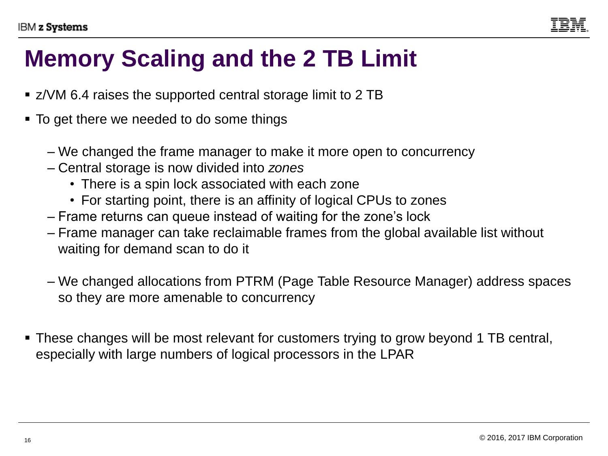# **Memory Scaling and the 2 TB Limit**

- z/VM 6.4 raises the supported central storage limit to 2 TB
- To get there we needed to do some things
	- We changed the frame manager to make it more open to concurrency
	- Central storage is now divided into *zones*
		- There is a spin lock associated with each zone
		- For starting point, there is an affinity of logical CPUs to zones
	- Frame returns can queue instead of waiting for the zone's lock
	- Frame manager can take reclaimable frames from the global available list without waiting for demand scan to do it
	- We changed allocations from PTRM (Page Table Resource Manager) address spaces so they are more amenable to concurrency
- These changes will be most relevant for customers trying to grow beyond 1 TB central, especially with large numbers of logical processors in the LPAR

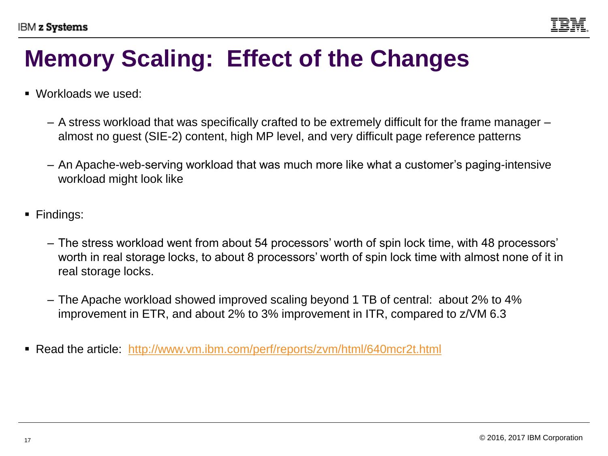

## **Memory Scaling: Effect of the Changes**

- Workloads we used:
	- A stress workload that was specifically crafted to be extremely difficult for the frame manager almost no guest (SIE-2) content, high MP level, and very difficult page reference patterns
	- An Apache-web-serving workload that was much more like what a customer's paging-intensive workload might look like
- Findings:
	- The stress workload went from about 54 processors' worth of spin lock time, with 48 processors' worth in real storage locks, to about 8 processors' worth of spin lock time with almost none of it in real storage locks.
	- The Apache workload showed improved scaling beyond 1 TB of central: about 2% to 4% improvement in ETR, and about 2% to 3% improvement in ITR, compared to z/VM 6.3
- Read the article: <http://www.vm.ibm.com/perf/reports/zvm/html/640mcr2t.html>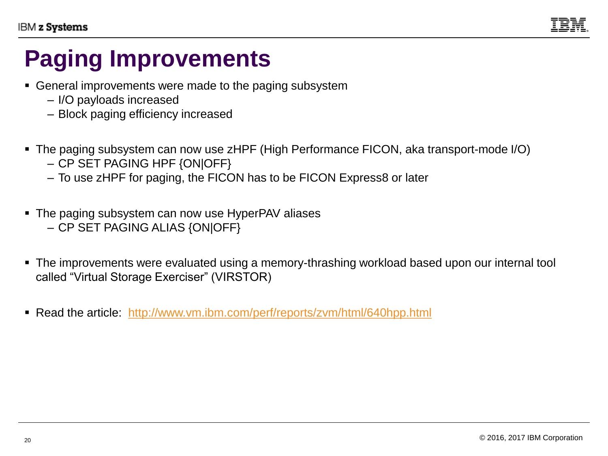

## **Paging Improvements**

- General improvements were made to the paging subsystem
	- I/O payloads increased
	- Block paging efficiency increased
- The paging subsystem can now use zHPF (High Performance FICON, aka transport-mode I/O)
	- CP SET PAGING HPF {ON|OFF}
	- To use zHPF for paging, the FICON has to be FICON Express8 or later
- The paging subsystem can now use HyperPAV aliases
	- CP SET PAGING ALIAS {ON|OFF}
- The improvements were evaluated using a memory-thrashing workload based upon our internal tool called "Virtual Storage Exerciser" (VIRSTOR)
- Read the article: <http://www.vm.ibm.com/perf/reports/zvm/html/640hpp.html>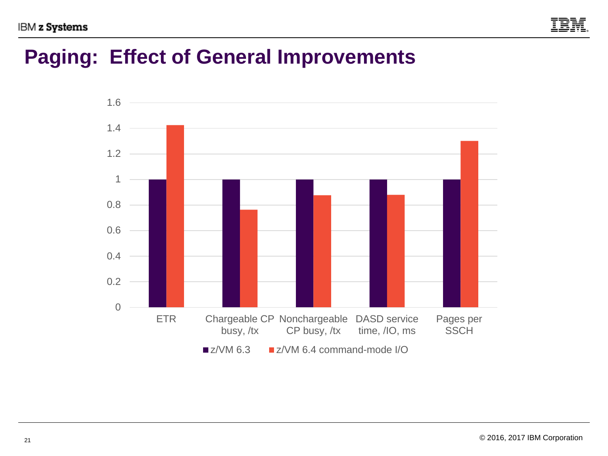

### **Paging: Effect of General Improvements**

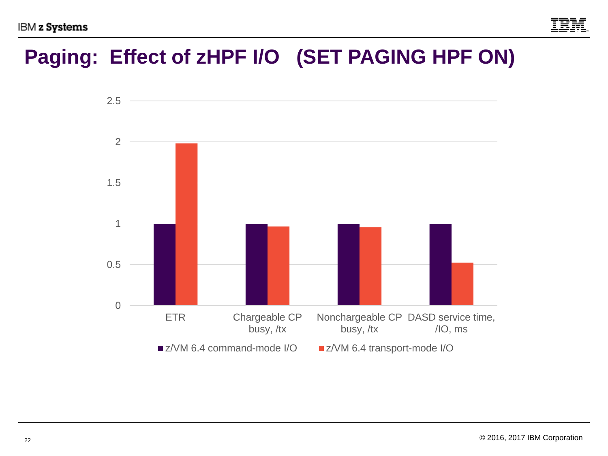

### **Paging: Effect of zHPF I/O (SET PAGING HPF ON)**

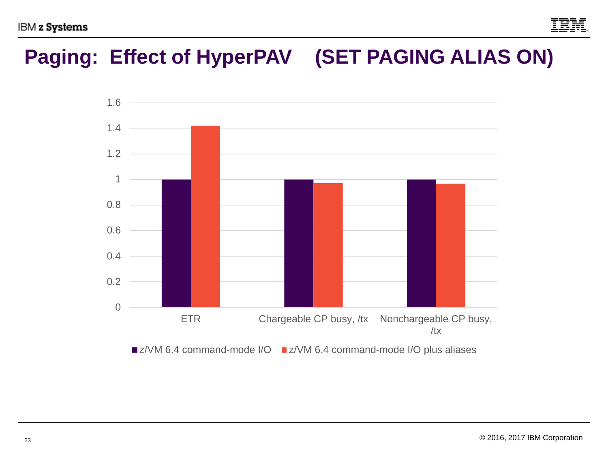

### **Paging: Effect of HyperPAV (SET PAGING ALIAS ON)**

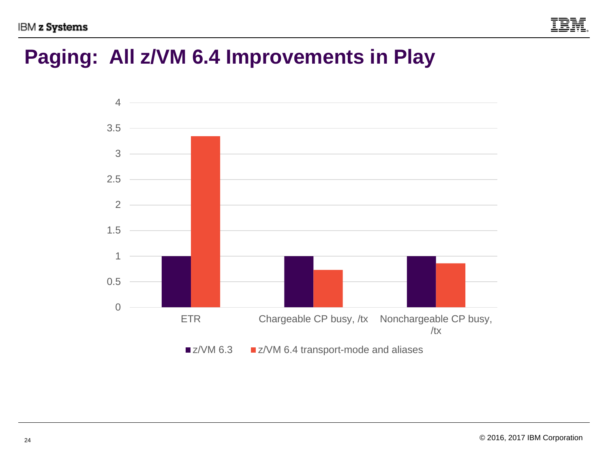

### **Paging: All z/VM 6.4 Improvements in Play**

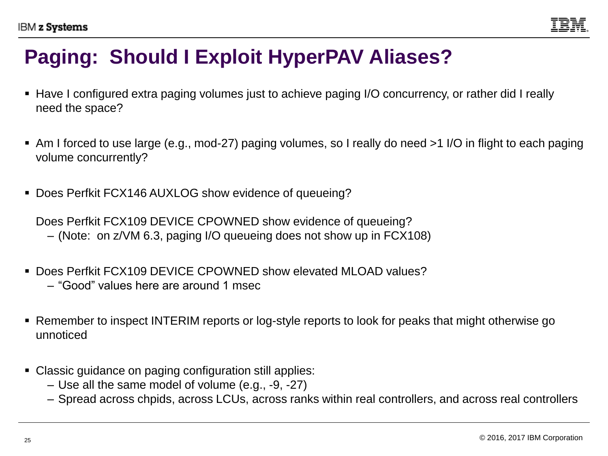

### **Paging: Should I Exploit HyperPAV Aliases?**

- Have I configured extra paging volumes just to achieve paging I/O concurrency, or rather did I really need the space?
- Am I forced to use large (e.g., mod-27) paging volumes, so I really do need >1 I/O in flight to each paging volume concurrently?
- Does Perfkit FCX146 AUXLOG show evidence of queueing?

Does Perfkit FCX109 DEVICE CPOWNED show evidence of queueing?

- (Note: on z/VM 6.3, paging I/O queueing does not show up in FCX108)
- Does Perfkit FCX109 DEVICE CPOWNED show elevated MLOAD values?
	- "Good" values here are around 1 msec
- Remember to inspect INTERIM reports or log-style reports to look for peaks that might otherwise go unnoticed
- Classic guidance on paging configuration still applies:
	- Use all the same model of volume (e.g., -9, -27)
	- Spread across chpids, across LCUs, across ranks within real controllers, and across real controllers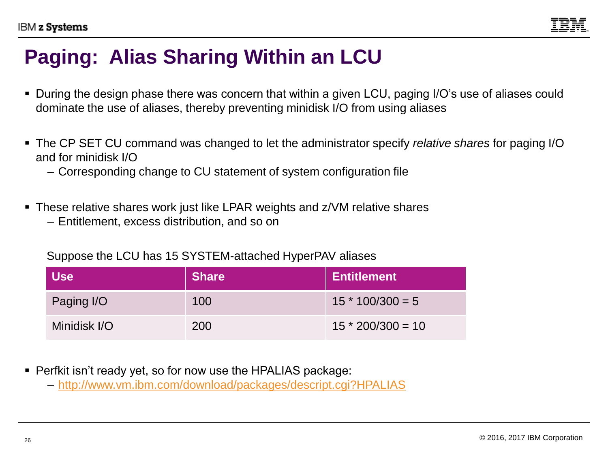

### **Paging: Alias Sharing Within an LCU**

- During the design phase there was concern that within a given LCU, paging I/O's use of aliases could dominate the use of aliases, thereby preventing minidisk I/O from using aliases
- The CP SET CU command was changed to let the administrator specify *relative shares* for paging I/O and for minidisk I/O
	- Corresponding change to CU statement of system configuration file
- These relative shares work just like LPAR weights and z/VM relative shares
	- Entitlement, excess distribution, and so on

Suppose the LCU has 15 SYSTEM-attached HyperPAV aliases

| <b>Use</b>   | <b>Share</b> | Entitlement         |
|--------------|--------------|---------------------|
| Paging I/O   | 100          | $15 * 100/300 = 5$  |
| Minidisk I/O | 200          | $15 * 200/300 = 10$ |

- Perfkit isn't ready yet, so for now use the HPALIAS package:
	- <http://www.vm.ibm.com/download/packages/descript.cgi?HPALIAS>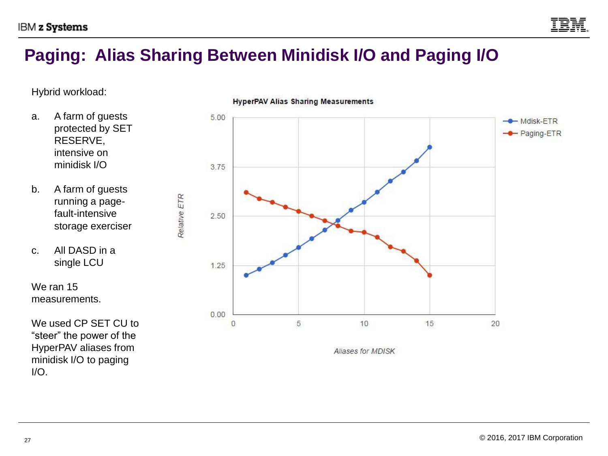

#### **Paging: Alias Sharing Between Minidisk I/O and Paging I/O**

Hybrid workload:

- a. A farm of guests protected by SET RESERVE, intensive on minidisk I/O
- b. A farm of guests running a pagefault-intensive storage exerciser
- c. All DASD in a single LCU

We ran 15 measurements.

We used CP SET CU to "steer" the power of the HyperPAV aliases from minidisk I/O to paging I/O.



#### **HyperPAV Alias Sharing Measurements**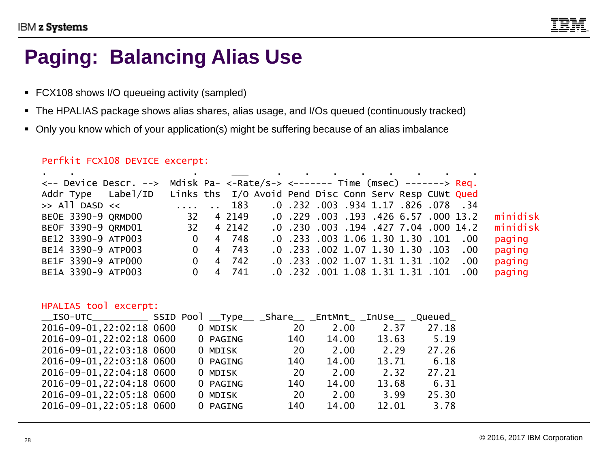

#### **Paging: Balancing Alias Use**

- FCX108 shows I/O queueing activity (sampled)
- The HPALIAS package shows alias shares, alias usage, and I/Os queued (continuously tracked)
- Only you know which of your application(s) might be suffering because of an alias imbalance

#### Perfkit FCX108 DEVICE excerpt:

|                                                                                          |                         |   |                 | the component of the control of the control of the control of the control of the control of the control of the |                                       |  |  |          |
|------------------------------------------------------------------------------------------|-------------------------|---|-----------------|----------------------------------------------------------------------------------------------------------------|---------------------------------------|--|--|----------|
| $\leftarrow$ - Device Descr. --> Mdisk Pa- <-Rate/s-> <------- Time (msec) -------> Req. |                         |   |                 |                                                                                                                |                                       |  |  |          |
| Addr Type Label/ID Links ths I/O Avoid Pend Disc Conn Serv Resp CUWt Qued                |                         |   |                 |                                                                                                                |                                       |  |  |          |
|                                                                                          |                         |   |                 |                                                                                                                |                                       |  |  |          |
| BEOE 3390-9 QRMD00                                                                       | 32                      |   |                 | 4 2149 0.229 0.03 .193 .426 6.57 000 13.2                                                                      |                                       |  |  | minidisk |
| BEOF 3390-9 ORMD01                                                                       | 32 4 2142               |   |                 |                                                                                                                | .0. 230 .003 .194 .427 7.04 .000 .4.2 |  |  | minidisk |
| BE12 3390-9 ATP003                                                                       |                         |   | $0 \t 4 \t 748$ |                                                                                                                | .0. 101. 1.30 1.30 1.30 1.01 .00      |  |  | paging   |
| BE14 3390-9 ATP003                                                                       | $\overline{\mathbf{0}}$ |   | 4 743           |                                                                                                                | .0 .233 .002 1.07 1.30 1.30 .103 .00  |  |  | paging   |
| BE1F 3390-9 ATP000                                                                       |                         | 0 | 4 742           |                                                                                                                | .0. 233 .002 1.07 1.31 1.31 .102 .00  |  |  | paging   |
| BE1A 3390-9 ATP003                                                                       | $\Omega$                |   | 4 741           |                                                                                                                | .0. 101. 1.31.31.31.101.00. 232.0.    |  |  | paging   |

#### HPALIAS tool excerpt:

| __ISO-UTC____________ SSID Pool __Type__ _Share__ _EntMnt_ _InUse__ _Queued_ |  |                                 |      |       |       |       |
|------------------------------------------------------------------------------|--|---------------------------------|------|-------|-------|-------|
| 2016-09-01, 22:02:18 0600                                                    |  | 0 MDISK VOOR DE SAMDE STAATSTEL | - 20 | 2.00  | 2.37  | 27.18 |
| 2016-09-01, 22:02:18 0600                                                    |  | 0 PAGING                        | 140  | 14.00 | 13.63 | 5.19  |
| 2016-09-01, 22:03:18 0600                                                    |  | 0 MDISK                         | - 20 | 2.00  | 2.29  | 27.26 |
| 2016-09-01, 22:03:18 0600                                                    |  | 0 PAGING                        | 140  | 14.00 | 13.71 | 6.18  |
| 2016-09-01, 22:04:18 0600                                                    |  | 0 MDISK                         | 20   | 2.00  | 2.32  | 27.21 |
| 2016-09-01, 22:04:18 0600                                                    |  | 0 PAGING                        | 140  | 14.00 | 13.68 | 6.31  |
| 2016-09-01, 22:05:18 0600                                                    |  | 0 MDISK                         | 20   | 2.00  | 3.99  | 25.30 |
| 2016-09-01, 22:05:18 0600                                                    |  | 0 PAGING                        | 140  | 14.00 | 12.01 | 3.78  |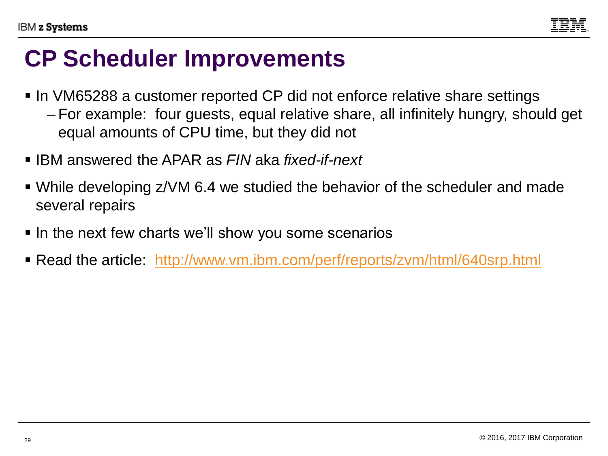

### **CP Scheduler Improvements**

- In VM65288 a customer reported CP did not enforce relative share settings
	- For example: four guests, equal relative share, all infinitely hungry, should get equal amounts of CPU time, but they did not
- IBM answered the APAR as *FIN* aka *fixed-if-next*
- While developing z/VM 6.4 we studied the behavior of the scheduler and made several repairs
- In the next few charts we'll show you some scenarios
- Read the article: <http://www.vm.ibm.com/perf/reports/zvm/html/640srp.html>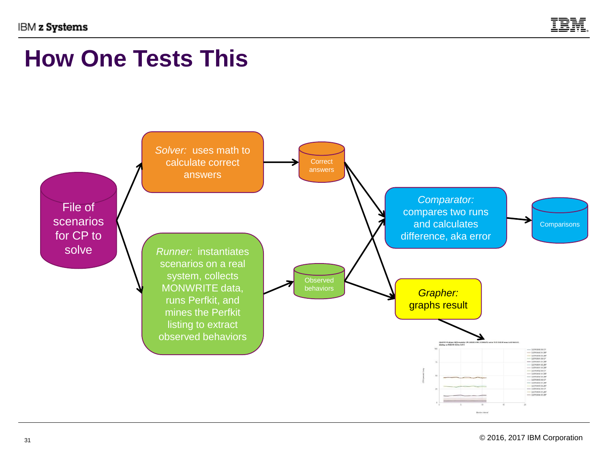

### **How One Tests This**

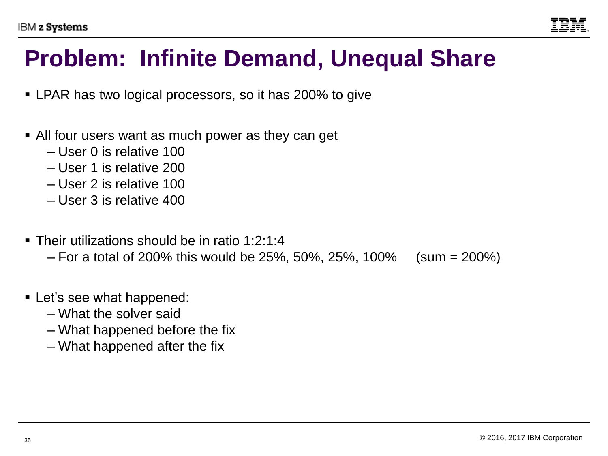

## **Problem: Infinite Demand, Unequal Share**

- LPAR has two logical processors, so it has 200% to give
- All four users want as much power as they can get
	- User 0 is relative 100
	- User 1 is relative 200
	- User 2 is relative 100
	- User 3 is relative 400
- Their utilizations should be in ratio 1:2:1:4
	- $-$  For a total of 200% this would be 25%, 50%, 25%, 100% (sum = 200%)
- Let's see what happened:
	- What the solver said
	- What happened before the fix
	- What happened after the fix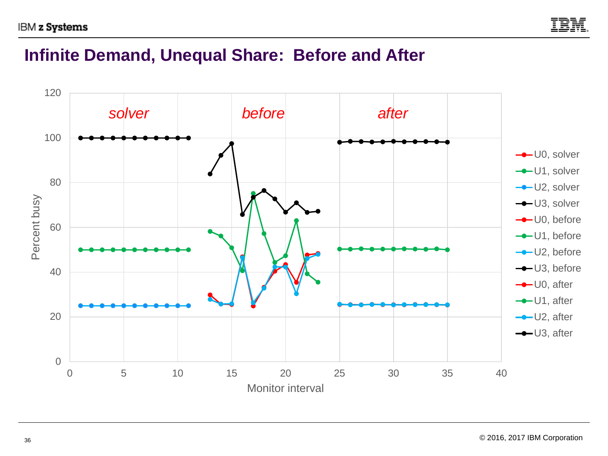

#### **Infinite Demand, Unequal Share: Before and After**

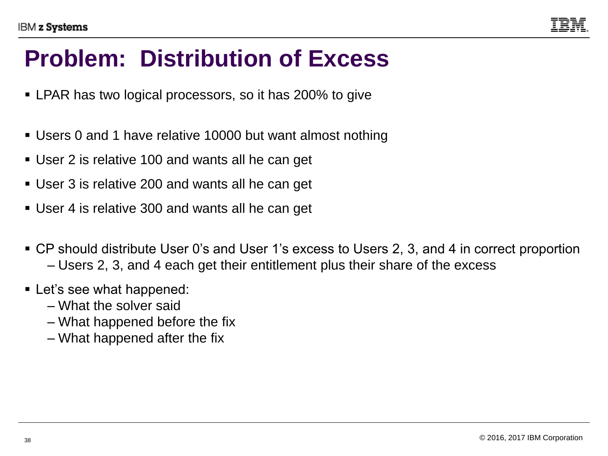

## **Problem: Distribution of Excess**

- LPAR has two logical processors, so it has 200% to give
- Users 0 and 1 have relative 10000 but want almost nothing
- User 2 is relative 100 and wants all he can get
- User 3 is relative 200 and wants all he can get
- User 4 is relative 300 and wants all he can get
- CP should distribute User 0's and User 1's excess to Users 2, 3, and 4 in correct proportion – Users 2, 3, and 4 each get their entitlement plus their share of the excess
- Let's see what happened:
	- What the solver said
	- What happened before the fix
	- What happened after the fix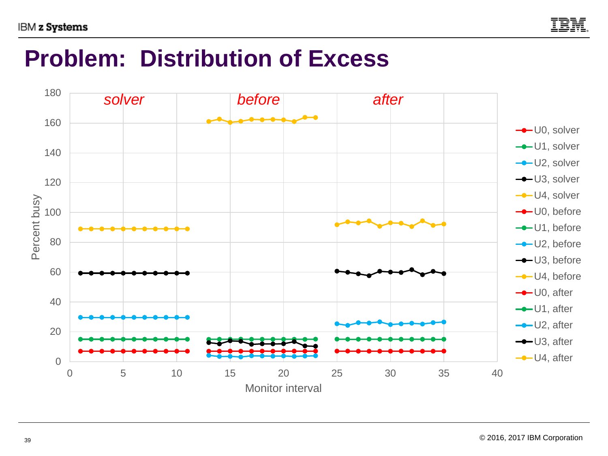

## **Problem: Distribution of Excess**

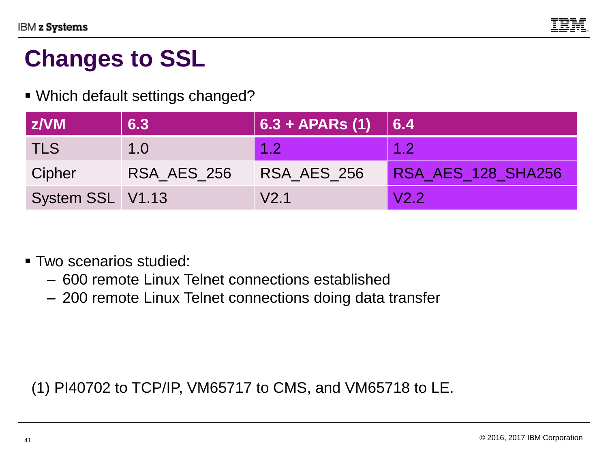

## **Changes to SSL**

#### ▪ Which default settings changed?

| z/VM             | 6.3         | $  6.3 + APARS (1)  $ | $\big  6.4$               |
|------------------|-------------|-----------------------|---------------------------|
| TLS              | 1.0         | 1.2                   | 1.2                       |
| Cipher           | RSA AES 256 | RSA AES 256           | <b>RSA AES 128 SHA256</b> |
| System SSL V1.13 |             | V <sub>2.1</sub>      | V2.2                      |

▪ Two scenarios studied:

- 600 remote Linux Telnet connections established
- 200 remote Linux Telnet connections doing data transfer

(1) PI40702 to TCP/IP, VM65717 to CMS, and VM65718 to LE.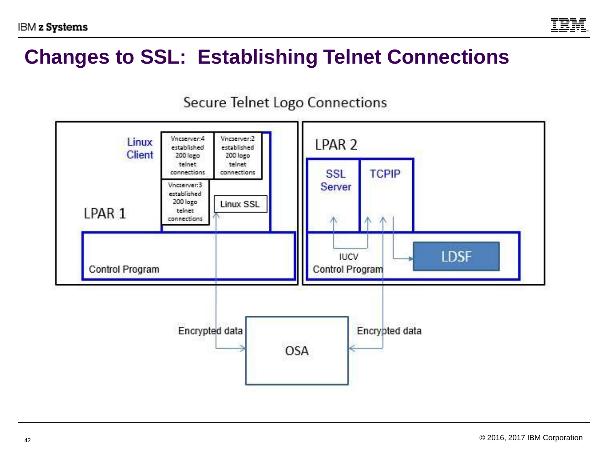

### **Changes to SSL: Establishing Telnet Connections**



#### Secure Telnet Logo Connections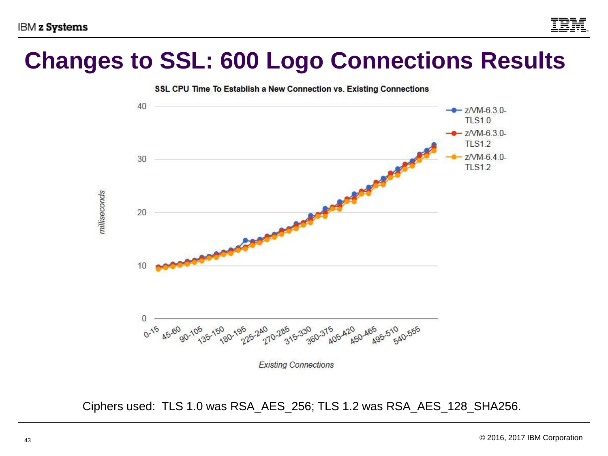

## **Changes to SSL: 600 Logo Connections Results**



Ciphers used: TLS 1.0 was RSA\_AES\_256; TLS 1.2 was RSA\_AES\_128\_SHA256.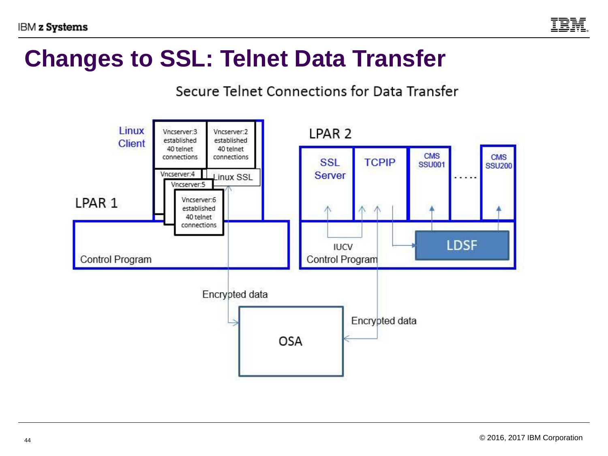

### **Changes to SSL: Telnet Data Transfer**

#### Secure Telnet Connections for Data Transfer

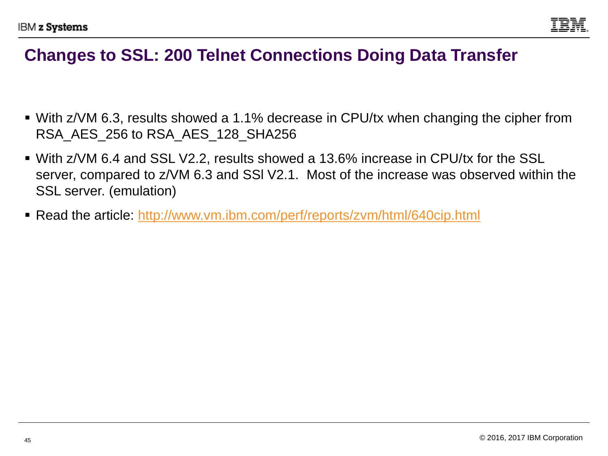

#### **Changes to SSL: 200 Telnet Connections Doing Data Transfer**

- With z/VM 6.3, results showed a 1.1% decrease in CPU/tx when changing the cipher from RSA\_AES\_256 to RSA\_AES\_128\_SHA256
- With z/VM 6.4 and SSL V2.2, results showed a 13.6% increase in CPU/tx for the SSL server, compared to z/VM 6.3 and SSl V2.1. Most of the increase was observed within the SSL server. (emulation)
- Read the article: http://www.vm.ibm.com/perf/reports/zvm/html/640cip.html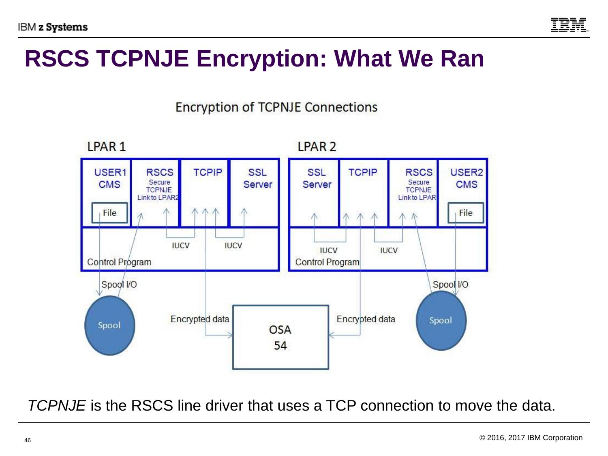

## **RSCS TCPNJE Encryption: What We Ran**



**Encryption of TCPNJE Connections** 

*TCPNJE* is the RSCS line driver that uses a TCP connection to move the data.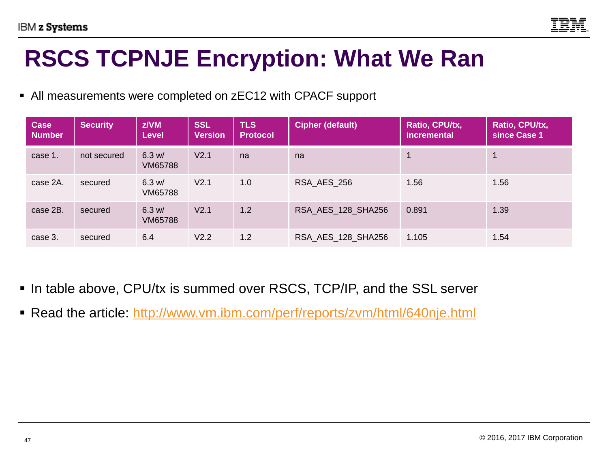

## **RSCS TCPNJE Encryption: What We Ran**

■ All measurements were completed on zEC12 with CPACF support

| <b>Case</b><br><b>Number</b> | <b>Security</b> | z/VM<br><b>Level</b> | <b>SSL</b><br><b>Version</b> | <b>TLS</b><br><b>Protocol</b> | <b>Cipher (default)</b> | Ratio, CPU/tx,<br><i>incremental</i> | Ratio, CPU/tx,<br>since Case 1 |
|------------------------------|-----------------|----------------------|------------------------------|-------------------------------|-------------------------|--------------------------------------|--------------------------------|
| case 1.                      | not secured     | 6.3 w/<br>VM65788    | V2.1                         | na                            | na                      |                                      |                                |
| case 2A.                     | secured         | 6.3 w/<br>VM65788    | V <sub>2.1</sub>             | 1.0                           | RSA AES 256             | 1.56                                 | 1.56                           |
| case 2B.                     | secured         | 6.3 w/<br>VM65788    | V <sub>2.1</sub>             | 1.2                           | RSA AES 128 SHA256      | 0.891                                | 1.39                           |
| case 3.                      | secured         | 6.4                  | V <sub>2.2</sub>             | 1.2                           | RSA_AES_128_SHA256      | 1.105                                | 1.54                           |

- In table above, CPU/tx is summed over RSCS, TCP/IP, and the SSL server
- Read the article:<http://www.vm.ibm.com/perf/reports/zvm/html/640nje.html>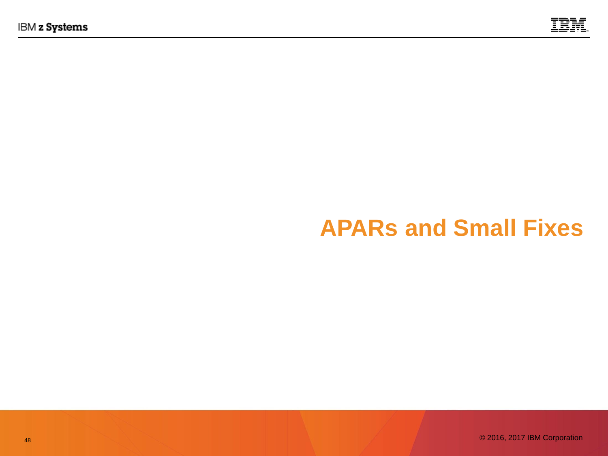

## **APARs and Small Fixes**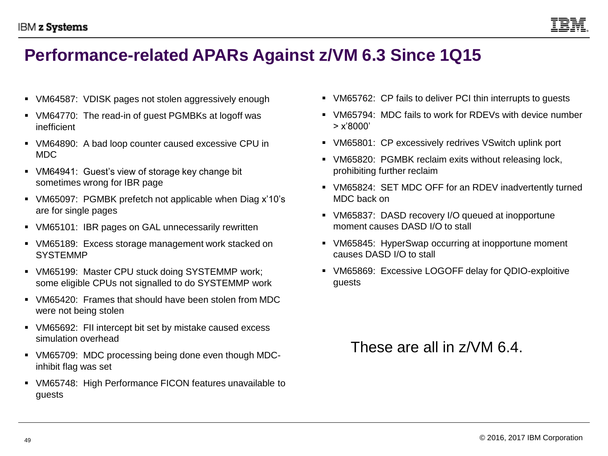

#### **Performance-related APARs Against z/VM 6.3 Since 1Q15**

- VM64587: VDISK pages not stolen aggressively enough
- VM64770: The read-in of guest PGMBKs at logoff was inefficient
- VM64890: A bad loop counter caused excessive CPU in MDC
- VM64941: Guest's view of storage key change bit sometimes wrong for IBR page
- VM65097: PGMBK prefetch not applicable when Diag x'10's are for single pages
- VM65101: IBR pages on GAL unnecessarily rewritten
- VM65189: Excess storage management work stacked on SYSTEMMP
- VM65199: Master CPU stuck doing SYSTEMMP work; some eligible CPUs not signalled to do SYSTEMMP work
- VM65420: Frames that should have been stolen from MDC were not being stolen
- VM65692: FII intercept bit set by mistake caused excess simulation overhead
- VM65709: MDC processing being done even though MDCinhibit flag was set
- VM65748: High Performance FICON features unavailable to guests
- VM65762: CP fails to deliver PCI thin interrupts to guests
- VM65794: MDC fails to work for RDEVs with device number > x'8000'
- VM65801: CP excessively redrives VSwitch uplink port
- VM65820: PGMBK reclaim exits without releasing lock, prohibiting further reclaim
- VM65824: SET MDC OFF for an RDEV inadvertently turned MDC back on
- VM65837: DASD recovery I/O queued at inopportune moment causes DASD I/O to stall
- VM65845: HyperSwap occurring at inopportune moment causes DASD I/O to stall
- VM65869: Excessive LOGOFF delay for QDIO-exploitive guests

#### These are all in  $7/NM$  6.4.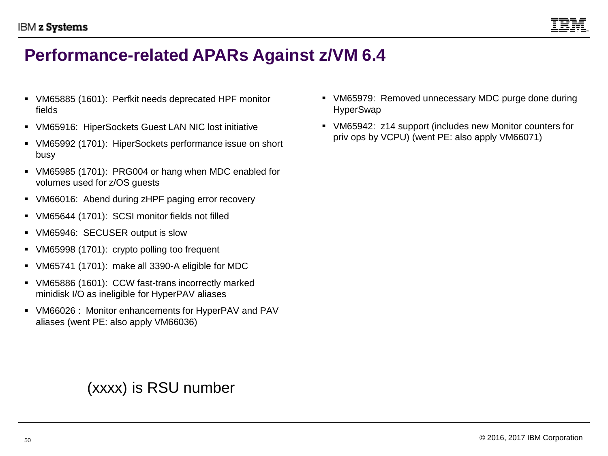

#### **Performance-related APARs Against z/VM 6.4**

- VM65885 (1601): Perfkit needs deprecated HPF monitor fields
- VM65916: HiperSockets Guest LAN NIC lost initiative
- VM65992 (1701): HiperSockets performance issue on short busy
- VM65985 (1701): PRG004 or hang when MDC enabled for volumes used for z/OS guests
- VM66016: Abend during zHPF paging error recovery
- VM65644 (1701): SCSI monitor fields not filled
- VM65946: SECUSER output is slow
- VM65998 (1701): crypto polling too frequent
- VM65741 (1701): make all 3390-A eligible for MDC
- VM65886 (1601): CCW fast-trans incorrectly marked minidisk I/O as ineligible for HyperPAV aliases
- VM66026 : Monitor enhancements for HyperPAV and PAV aliases (went PE: also apply VM66036)

(xxxx) is RSU number

- VM65979: Removed unnecessary MDC purge done during **HyperSwap**
- VM65942: z14 support (includes new Monitor counters for priv ops by VCPU) (went PE: also apply VM66071)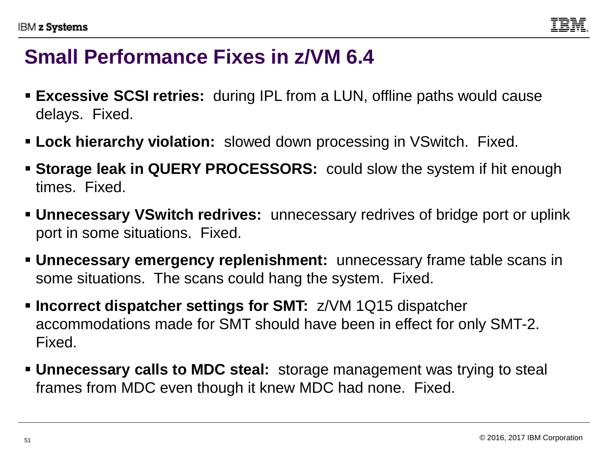### **Small Performance Fixes in z/VM 6.4**

- **Excessive SCSI retries:** during IPL from a LUN, offline paths would cause delays. Fixed.
- **ELock hierarchy violation:** slowed down processing in VSwitch. Fixed.
- **EXTERG 550RS:** could slow the system if hit enough **Storage leak in QUERY PROCESSORS:** could slow the system if hit enough times. Fixed.
- **Unnecessary VSwitch redrives:** unnecessary redrives of bridge port or uplink port in some situations. Fixed.
- **Unnecessary emergency replenishment:** unnecessary frame table scans in some situations. The scans could hang the system. Fixed.
- **Incorrect dispatcher settings for SMT:** z/VM 1Q15 dispatcher accommodations made for SMT should have been in effect for only SMT-2. Fixed.
- **Unnecessary calls to MDC steal:** storage management was trying to steal frames from MDC even though it knew MDC had none. Fixed.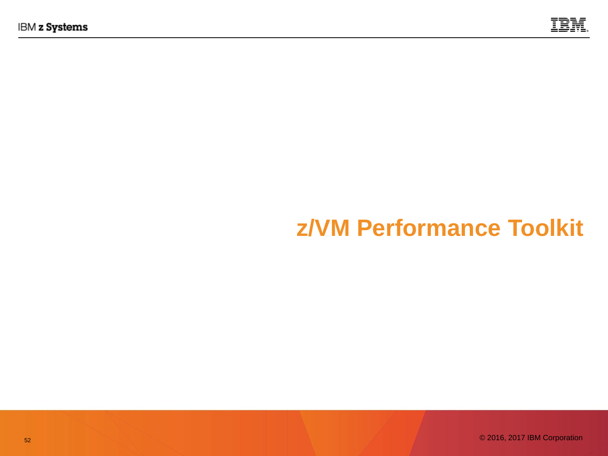

# **z/VM Performance Toolkit**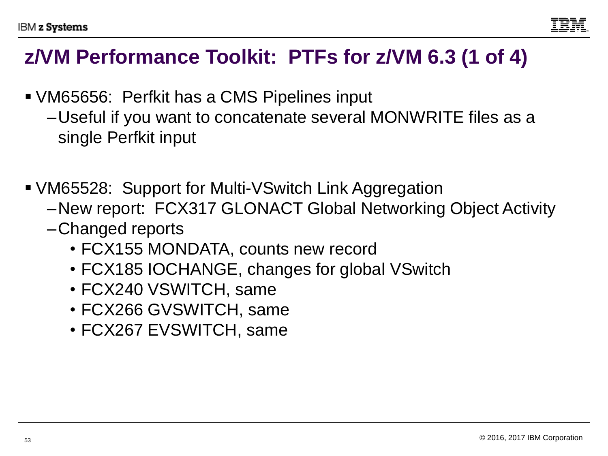### **z/VM Performance Toolkit: PTFs for z/VM 6.3 (1 of 4)**

- VM65656: Perfkit has a CMS Pipelines input
	- –Useful if you want to concatenate several MONWRITE files as a single Perfkit input
- VM65528: Support for Multi-VSwitch Link Aggregation
	- –New report: FCX317 GLONACT Global Networking Object Activity
	- –Changed reports
		- FCX155 MONDATA, counts new record
		- FCX185 IOCHANGE, changes for global VSwitch
		- FCX240 VSWITCH, same
		- FCX266 GVSWITCH, same
		- FCX267 EVSWITCH, same

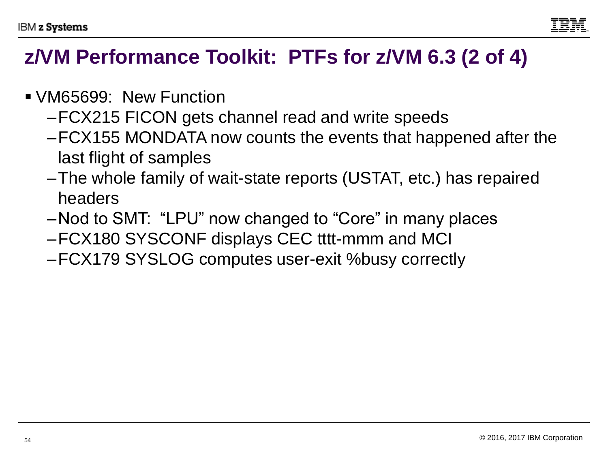

- VM65699: New Function
	- –FCX215 FICON gets channel read and write speeds
	- –FCX155 MONDATA now counts the events that happened after the last flight of samples
	- –The whole family of wait-state reports (USTAT, etc.) has repaired headers
	- –Nod to SMT: "LPU" now changed to "Core" in many places
	- –FCX180 SYSCONF displays CEC tttt-mmm and MCI
	- –FCX179 SYSLOG computes user-exit %busy correctly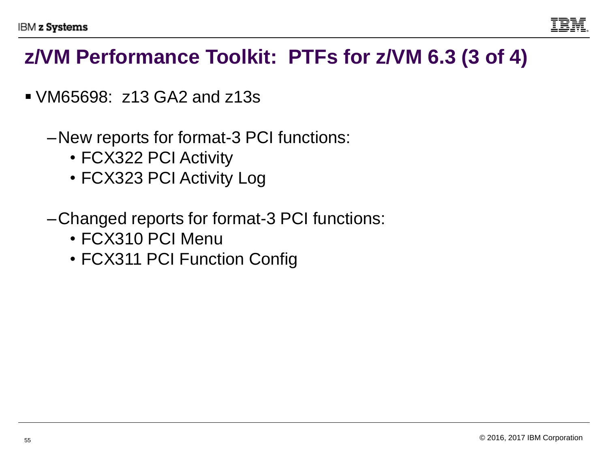

#### **z/VM Performance Toolkit: PTFs for z/VM 6.3 (3 of 4)**

- VM65698: z13 GA2 and z13s
	- –New reports for format-3 PCI functions:
		- FCX322 PCI Activity
		- FCX323 PCI Activity Log
	- –Changed reports for format-3 PCI functions:
		- FCX310 PCI Menu
		- FCX311 PCI Function Config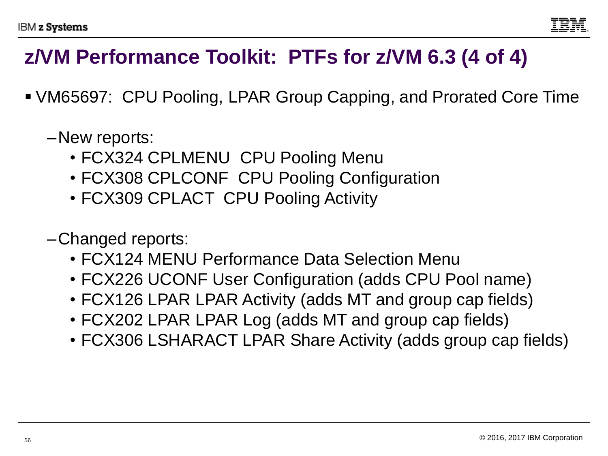

### **z/VM Performance Toolkit: PTFs for z/VM 6.3 (4 of 4)**

- VM65697: CPU Pooling, LPAR Group Capping, and Prorated Core Time
	- –New reports:
		- FCX324 CPLMENU CPU Pooling Menu
		- FCX308 CPLCONF CPU Pooling Configuration
		- FCX309 CPLACT CPU Pooling Activity
	- –Changed reports:
		- FCX124 MENU Performance Data Selection Menu
		- FCX226 UCONF User Configuration (adds CPU Pool name)
		- FCX126 LPAR LPAR Activity (adds MT and group cap fields)
		- FCX202 LPAR LPAR Log (adds MT and group cap fields)
		- FCX306 LSHARACT LPAR Share Activity (adds group cap fields)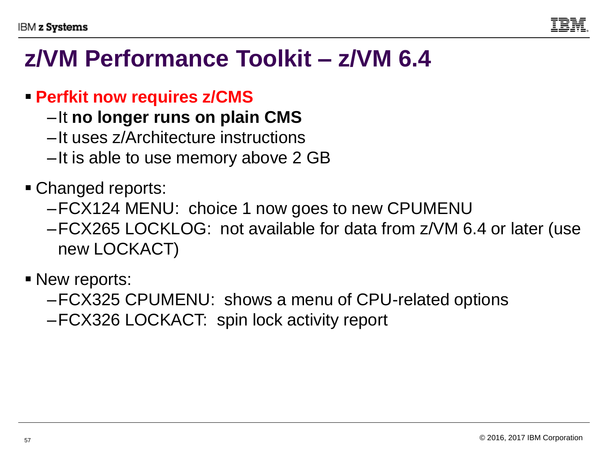

## **z/VM Performance Toolkit – z/VM 6.4**

#### ▪ **Perfkit now requires z/CMS**

- –It **no longer runs on plain CMS**
- –It uses z/Architecture instructions
- –It is able to use memory above 2 GB

#### • Changed reports:

- –FCX124 MENU: choice 1 now goes to new CPUMENU
- –FCX265 LOCKLOG: not available for data from z/VM 6.4 or later (use new LOCKACT)
- New reports:
	- –FCX325 CPUMENU: shows a menu of CPU-related options
	- –FCX326 LOCKACT: spin lock activity report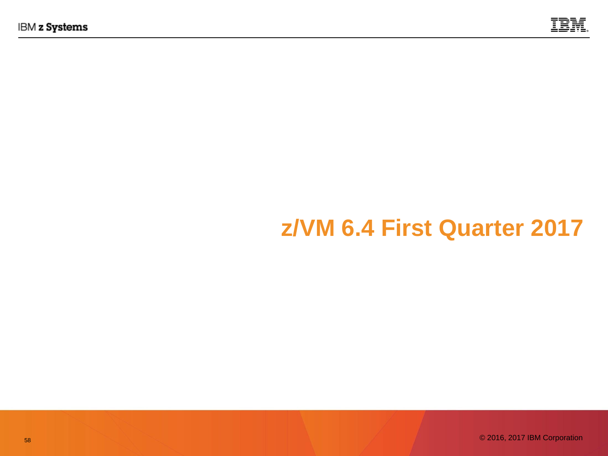

## **z/VM 6.4 First Quarter 2017**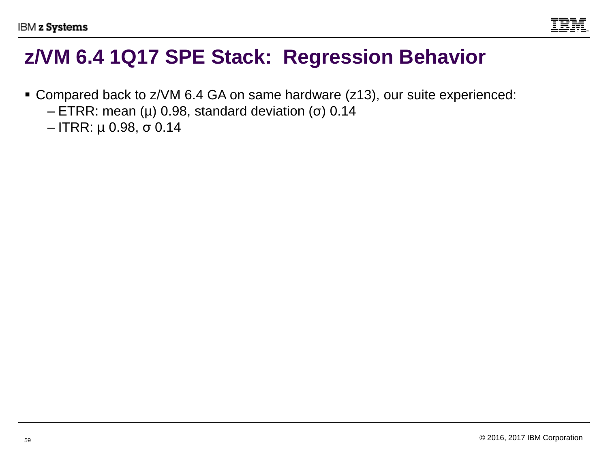

#### **z/VM 6.4 1Q17 SPE Stack: Regression Behavior**

- Compared back to z/VM 6.4 GA on same hardware (z13), our suite experienced:
	- ETRR: mean (μ) 0.98, standard deviation (σ) 0.14
	- ITRR: µ 0.98, σ 0.14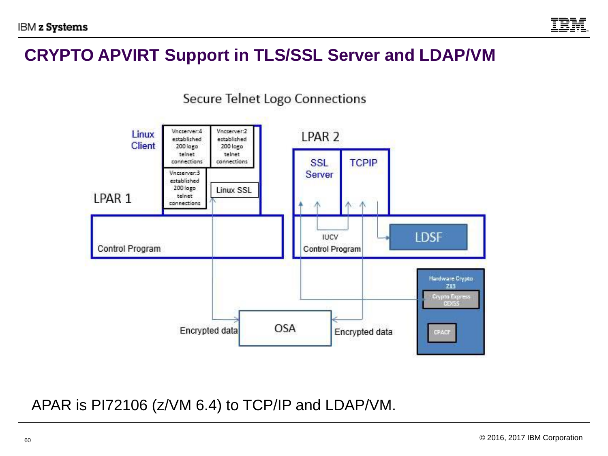

#### **CRYPTO APVIRT Support in TLS/SSL Server and LDAP/VM**



APAR is PI72106 (z/VM 6.4) to TCP/IP and LDAP/VM.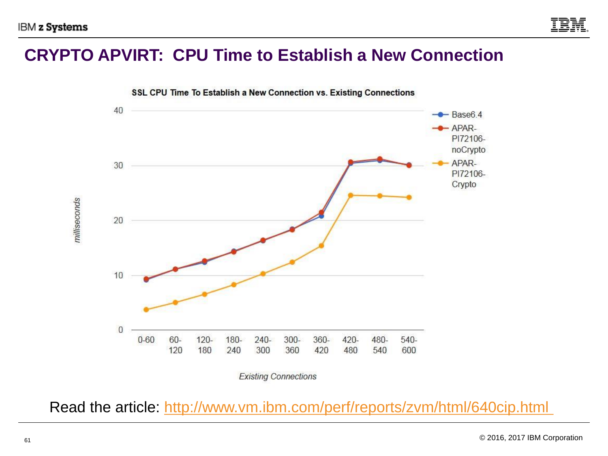#### **CRYPTO APVIRT: CPU Time to Establish a New Connection**



Read the article:<http://www.vm.ibm.com/perf/reports/zvm/html/640cip.html>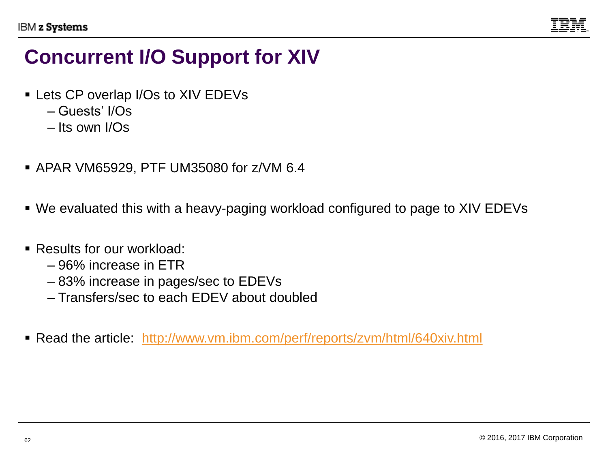

### **Concurrent I/O Support for XIV**

- Lets CP overlap I/Os to XIV EDEVs
	- Guests' I/Os
	- Its own I/Os
- APAR VM65929, PTF UM35080 for z/VM 6.4
- We evaluated this with a heavy-paging workload configured to page to XIV EDEVs
- Results for our workload:
	- 96% increase in ETR
	- 83% increase in pages/sec to EDEVs
	- Transfers/sec to each EDEV about doubled
- Read the article: <http://www.vm.ibm.com/perf/reports/zvm/html/640xiv.html>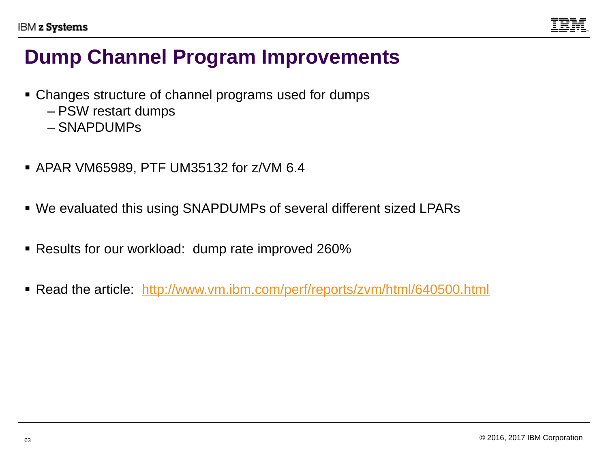

### **Dump Channel Program Improvements**

- Changes structure of channel programs used for dumps
	- PSW restart dumps
	- SNAPDUMPs
- APAR VM65989, PTF UM35132 for z/VM 6.4
- We evaluated this using SNAPDUMPs of several different sized LPARs
- Results for our workload: dump rate improved 260%
- Read the article: <http://www.vm.ibm.com/perf/reports/zvm/html/640500.html>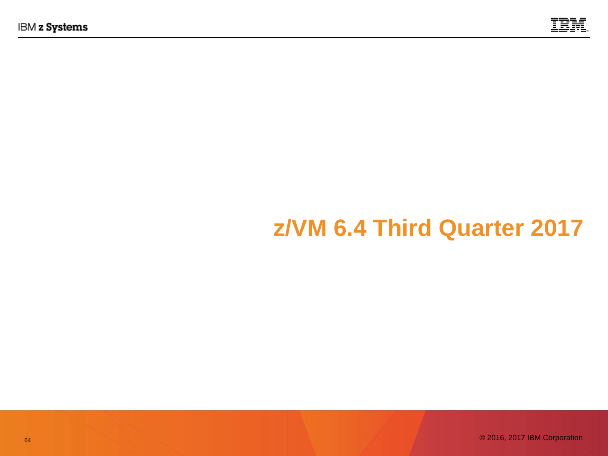

# **z/VM 6.4 Third Quarter 2017**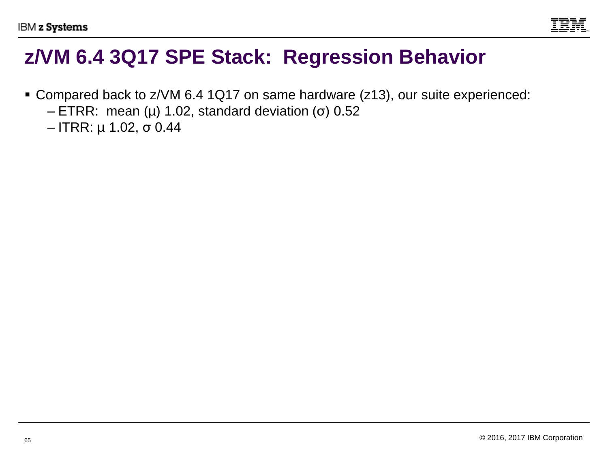

#### **z/VM 6.4 3Q17 SPE Stack: Regression Behavior**

- Compared back to z/VM 6.4 1Q17 on same hardware (z13), our suite experienced:
	- ETRR: mean (μ) 1.02, standard deviation (σ) 0.52
	- ITRR: µ 1.02, σ 0.44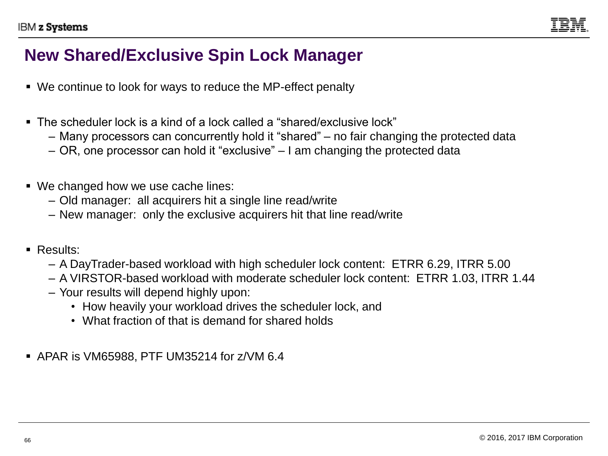

#### **New Shared/Exclusive Spin Lock Manager**

- We continue to look for ways to reduce the MP-effect penalty
- The scheduler lock is a kind of a lock called a "shared/exclusive lock"
	- Many processors can concurrently hold it "shared" no fair changing the protected data
	- OR, one processor can hold it "exclusive" I am changing the protected data
- We changed how we use cache lines:
	- Old manager: all acquirers hit a single line read/write
	- New manager: only the exclusive acquirers hit that line read/write
- Results:
	- A DayTrader-based workload with high scheduler lock content: ETRR 6.29, ITRR 5.00
	- A VIRSTOR-based workload with moderate scheduler lock content: ETRR 1.03, ITRR 1.44
	- Your results will depend highly upon:
		- How heavily your workload drives the scheduler lock, and
		- What fraction of that is demand for shared holds
- APAR is VM65988, PTF UM35214 for z/VM 6.4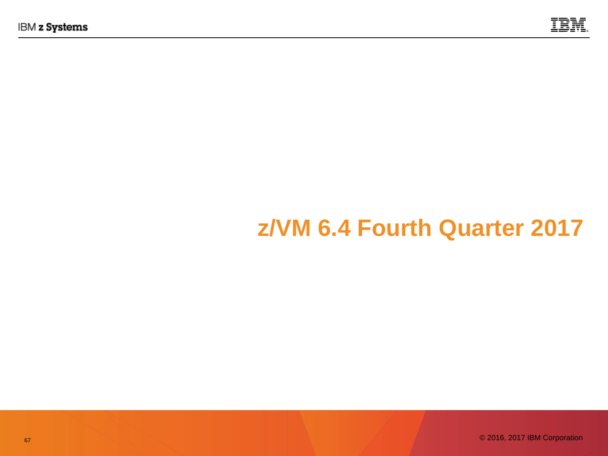

# **z/VM 6.4 Fourth Quarter 2017**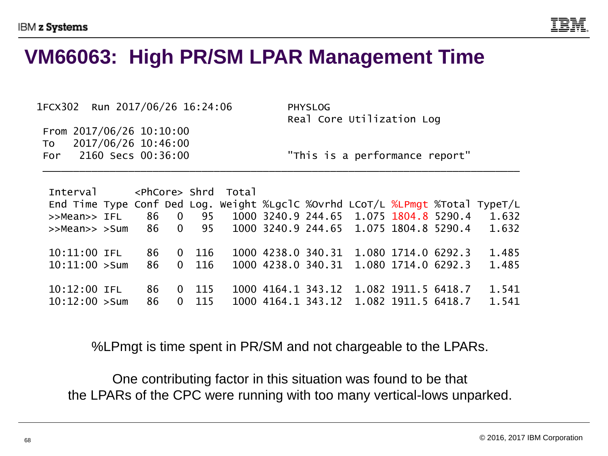

#### **VM66063: High PR/SM LPAR Management Time**

| 1FCX302 Run 2017/06/26 16:24:06                      | <b>PHYSLOG</b><br>Real Core Utilization Log |
|------------------------------------------------------|---------------------------------------------|
| From $2017/06/26$ 10:10:00<br>To 2017/06/26 10:46:00 |                                             |
| 2160 Secs 00:36:00<br>For                            | "This is a performance report"              |

Interval <PhCore> Shrd Total End Time Type Conf Ded Log. Weight %LgclC %Ovrhd LCoT/L %LPmgt %Total TypeT/L >>Mean>> IFL 86 0 95 1000 3240.9 244.65 1.075 1804.8 5290.4 1.632 >>Mean>> >Sum 86 0 95 1000 3240.9 244.65 1.075 1804.8 5290.4 1.632 10:11:00 IFL 86 0 116 1000 4238.0 340.31 1.080 1714.0 6292.3 1.485 10:11:00 >Sum 86 0 116 1000 4238.0 340.31 1.080 1714.0 6292.3 1.485 10:12:00 IFL 86 0 115 1000 4164.1 343.12 1.082 1911.5 6418.7 1.541 10:12:00 >Sum 86 0 115 1000 4164.1 343.12 1.082 1911.5 6418.7 1.541

%LPmgt is time spent in PR/SM and not chargeable to the LPARs.

One contributing factor in this situation was found to be that the LPARs of the CPC were running with too many vertical-lows unparked.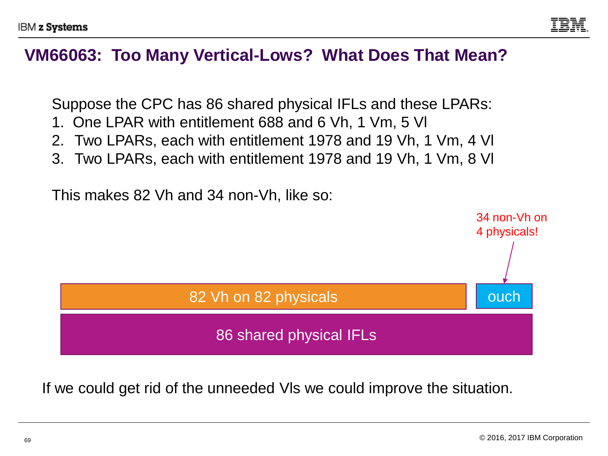

#### **VM66063: Too Many Vertical-Lows? What Does That Mean?**

Suppose the CPC has 86 shared physical IFLs and these LPARs:

- 1. One LPAR with entitlement 688 and 6 Vh, 1 Vm, 5 Vl
- 2. Two LPARs, each with entitlement 1978 and 19 Vh, 1 Vm, 4 Vl
- 3. Two LPARs, each with entitlement 1978 and 19 Vh, 1 Vm, 8 Vl

This makes 82 Vh and 34 non-Vh, like so:



If we could get rid of the unneeded Vls we could improve the situation.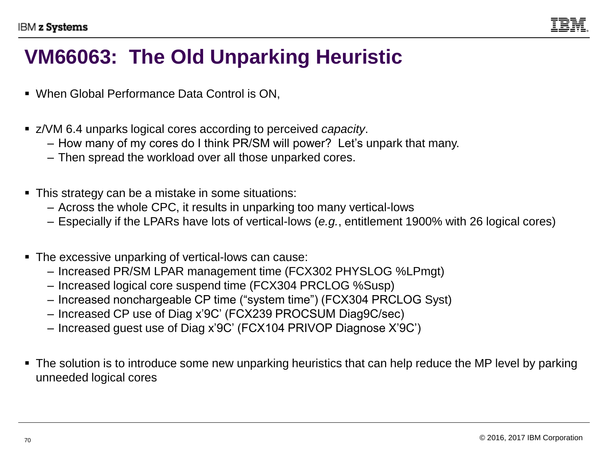

### **VM66063: The Old Unparking Heuristic**

- When Global Performance Data Control is ON,
- z/VM 6.4 unparks logical cores according to perceived *capacity*.
	- How many of my cores do I think PR/SM will power? Let's unpark that many.
	- Then spread the workload over all those unparked cores.
- This strategy can be a mistake in some situations:
	- Across the whole CPC, it results in unparking too many vertical-lows
	- Especially if the LPARs have lots of vertical-lows (*e.g.*, entitlement 1900% with 26 logical cores)
- The excessive unparking of vertical-lows can cause:
	- Increased PR/SM LPAR management time (FCX302 PHYSLOG %LPmgt)
	- Increased logical core suspend time (FCX304 PRCLOG %Susp)
	- Increased nonchargeable CP time ("system time") (FCX304 PRCLOG Syst)
	- Increased CP use of Diag x'9C' (FCX239 PROCSUM Diag9C/sec)
	- Increased guest use of Diag x'9C' (FCX104 PRIVOP Diagnose X'9C')
- The solution is to introduce some new unparking heuristics that can help reduce the MP level by parking unneeded logical cores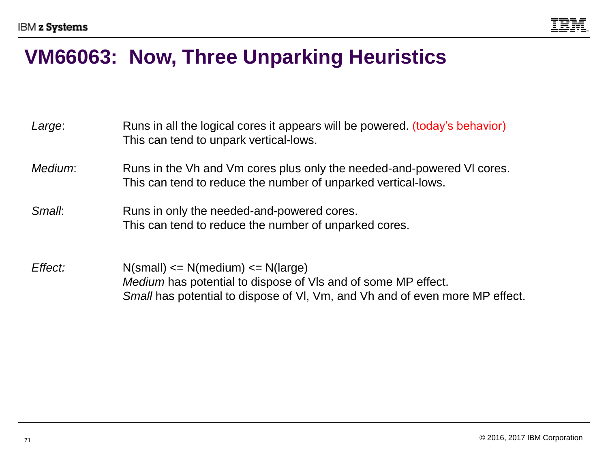

#### **VM66063: Now, Three Unparking Heuristics**

| Large:  | Runs in all the logical cores it appears will be powered. (today's behavior)<br>This can tend to unpark vertical-lows.                                                                          |
|---------|-------------------------------------------------------------------------------------------------------------------------------------------------------------------------------------------------|
| Medium: | Runs in the Vh and Vm cores plus only the needed-and-powered VI cores.<br>This can tend to reduce the number of unparked vertical-lows.                                                         |
| Small:  | Runs in only the needed-and-powered cores.<br>This can tend to reduce the number of unparked cores.                                                                                             |
| Effect: | $N(small) \leq N(medium) \leq N(large)$<br><i>Medium</i> has potential to dispose of VIs and of some MP effect.<br>Small has potential to dispose of VI, Vm, and Vh and of even more MP effect. |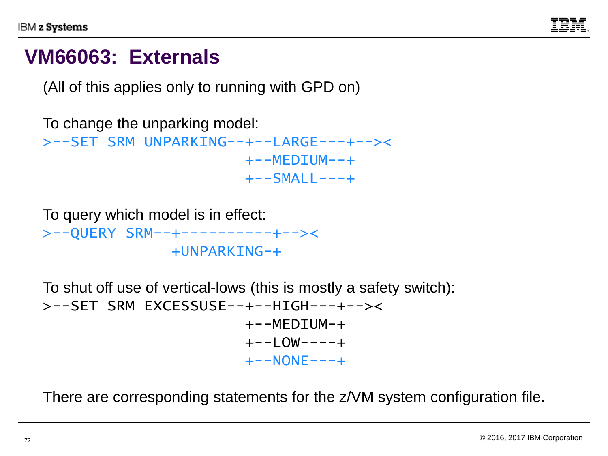

#### **VM66063: Externals**

(All of this applies only to running with GPD on)

```
To change the unparking model:
>--SET SRM UNPARKING--+--LARGE---+--><
                       +--MFDTUM--++--SMALL---+
```

```
To query which model is in effect:
>--QUERY SRM--+----------+--><
                +UNPARKING-+
```

```
To shut off use of vertical-lows (this is mostly a safety switch):
>--SET SRM EXCESSUSE--+--HIGH---+--><
                          +--MFDTIJM-++--1 OW---+++--NONF---+
```
There are corresponding statements for the z/VM system configuration file.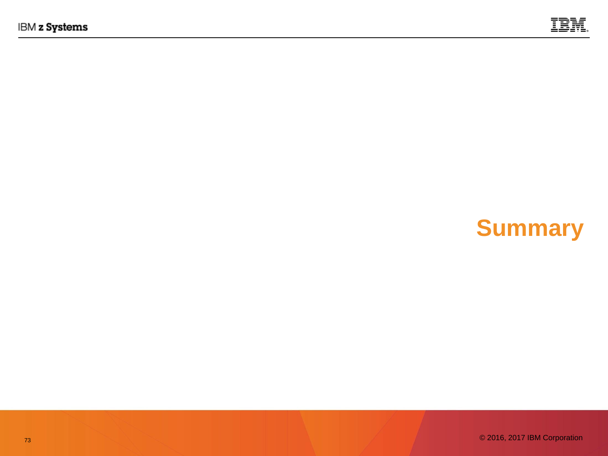

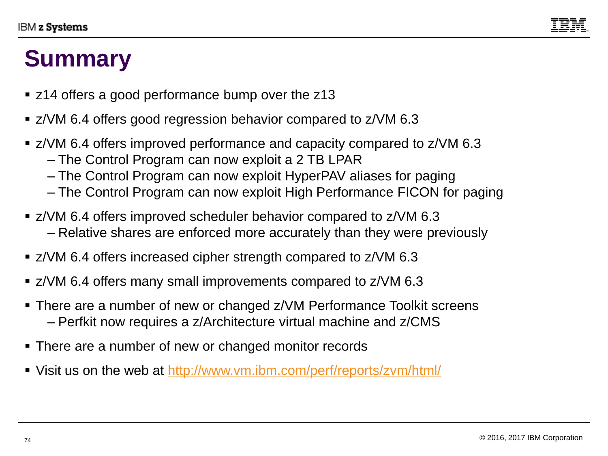

## **Summary**

- z14 offers a good performance bump over the z13
- z/VM 6.4 offers good regression behavior compared to z/VM 6.3
- z/VM 6.4 offers improved performance and capacity compared to z/VM 6.3
	- The Control Program can now exploit a 2 TB LPAR
	- The Control Program can now exploit HyperPAV aliases for paging
	- The Control Program can now exploit High Performance FICON for paging
- z/VM 6.4 offers improved scheduler behavior compared to z/VM 6.3 – Relative shares are enforced more accurately than they were previously
- z/VM 6.4 offers increased cipher strength compared to z/VM 6.3
- z/VM 6.4 offers many small improvements compared to z/VM 6.3
- There are a number of new or changed z/VM Performance Toolkit screens – Perfkit now requires a z/Architecture virtual machine and z/CMS
- There are a number of new or changed monitor records
- Visit us on the web at http://www.vm.ibm.com/perf/reports/zvm/html/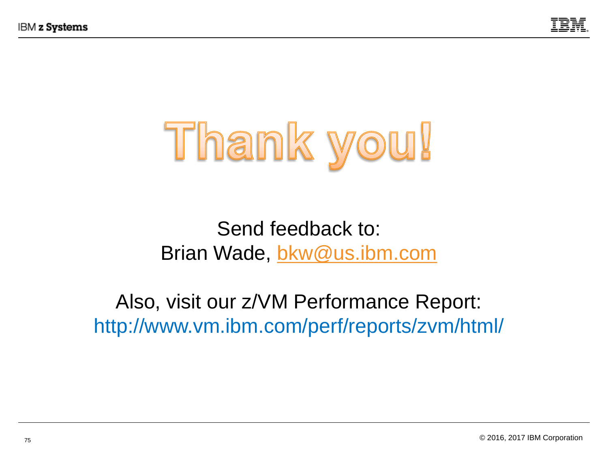



### Send feedback to: Brian Wade, [bkw@us.ibm.com](mailto:bkw@us.ibm.com)

### Also, visit our z/VM Performance Report: http://www.vm.ibm.com/perf/reports/zvm/html/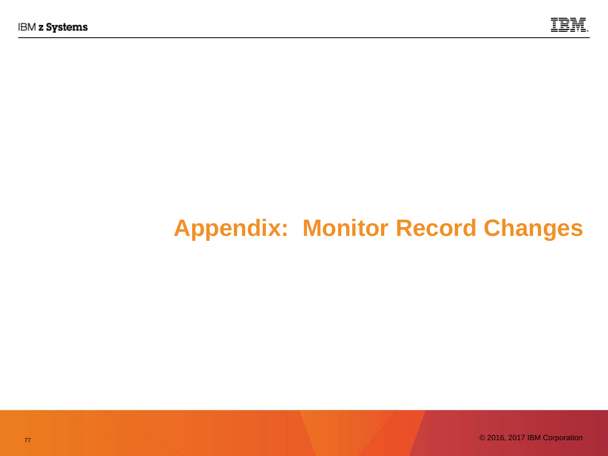

# **Appendix: Monitor Record Changes**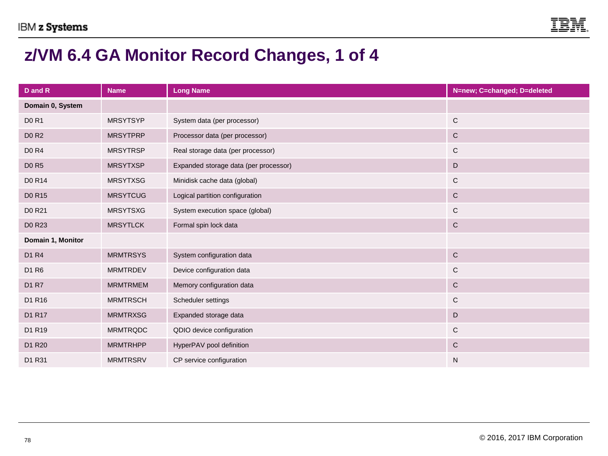

#### **z/VM 6.4 GA Monitor Record Changes, 1 of 4**

| D and R                       | <b>Name</b>     | <b>Long Name</b>                      | N=new; C=changed; D=deleted |
|-------------------------------|-----------------|---------------------------------------|-----------------------------|
| Domain 0, System              |                 |                                       |                             |
| <b>D0 R1</b>                  | <b>MRSYTSYP</b> | System data (per processor)           | ${\bf C}$                   |
| <b>DO R2</b>                  | <b>MRSYTPRP</b> | Processor data (per processor)        | ${\bf C}$                   |
| <b>D0 R4</b>                  | <b>MRSYTRSP</b> | Real storage data (per processor)     | C                           |
| <b>DO R5</b>                  | <b>MRSYTXSP</b> | Expanded storage data (per processor) | $\mathsf D$                 |
| D0 R14                        | <b>MRSYTXSG</b> | Minidisk cache data (global)          | C                           |
| D0 R15                        | <b>MRSYTCUG</b> | Logical partition configuration       | $\mathsf{C}$                |
| D0 R21                        | <b>MRSYTSXG</b> | System execution space (global)       | C                           |
| D0 R23                        | <b>MRSYTLCK</b> | Formal spin lock data                 | $\mathsf{C}$                |
| Domain 1, Monitor             |                 |                                       |                             |
| D <sub>1</sub> R <sub>4</sub> | <b>MRMTRSYS</b> | System configuration data             | ${\bf C}$                   |
| D1 R6                         | <b>MRMTRDEV</b> | Device configuration data             | C                           |
| D1 R7                         | <b>MRMTRMEM</b> | Memory configuration data             | ${\bf C}$                   |
| D1 R16                        | <b>MRMTRSCH</b> | Scheduler settings                    | $\mathsf{C}$                |
| D1 R17                        | <b>MRMTRXSG</b> | Expanded storage data                 | $\mathsf D$                 |
| D1 R19                        | <b>MRMTRQDC</b> | QDIO device configuration             | C                           |
| D1 R20                        | <b>MRMTRHPP</b> | HyperPAV pool definition              | ${\bf C}$                   |
| D1 R31                        | <b>MRMTRSRV</b> | CP service configuration              | N                           |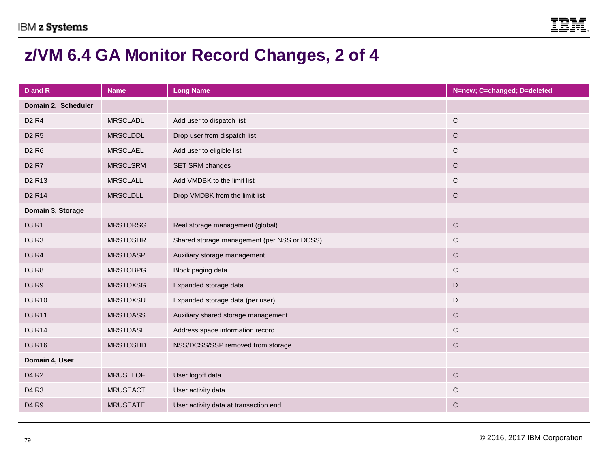

#### **z/VM 6.4 GA Monitor Record Changes, 2 of 4**

| D and R                           | <b>Name</b>     | <b>Long Name</b>                            | N=new; C=changed; D=deleted |
|-----------------------------------|-----------------|---------------------------------------------|-----------------------------|
| Domain 2, Scheduler               |                 |                                             |                             |
| D <sub>2</sub> R <sub>4</sub>     | <b>MRSCLADL</b> | Add user to dispatch list                   | $\mathbf C$                 |
| <b>D<sub>2</sub>R<sub>5</sub></b> | <b>MRSCLDDL</b> | Drop user from dispatch list                | ${\bf C}$                   |
| D <sub>2</sub> R <sub>6</sub>     | <b>MRSCLAEL</b> | Add user to eligible list                   | $\mathsf{C}$                |
| D <sub>2</sub> R <sub>7</sub>     | <b>MRSCLSRM</b> | SET SRM changes                             | $\mathbf C$                 |
| D <sub>2</sub> R <sub>13</sub>    | <b>MRSCLALL</b> | Add VMDBK to the limit list                 | $\mathsf C$                 |
| D <sub>2</sub> R <sub>14</sub>    | <b>MRSCLDLL</b> | Drop VMDBK from the limit list              | $\mathbf C$                 |
| Domain 3, Storage                 |                 |                                             |                             |
| D3 R1                             | <b>MRSTORSG</b> | Real storage management (global)            | $\mathbf C$                 |
| D3 R3                             | <b>MRSTOSHR</b> | Shared storage management (per NSS or DCSS) | $\mathsf C$                 |
| D3 R4                             | <b>MRSTOASP</b> | Auxiliary storage management                | $\mathbf C$                 |
| D3 R8                             | <b>MRSTOBPG</b> | Block paging data                           | $\mathsf{C}$                |
| D3 R9                             | <b>MRSTOXSG</b> | Expanded storage data                       | $\mathsf D$                 |
| D3 R10                            | <b>MRSTOXSU</b> | Expanded storage data (per user)            | D                           |
| D3 R11                            | <b>MRSTOASS</b> | Auxiliary shared storage management         | $\mathbf C$                 |
| D3 R14                            | <b>MRSTOASI</b> | Address space information record            | $\mathsf C$                 |
| D3 R16                            | <b>MRSTOSHD</b> | NSS/DCSS/SSP removed from storage           | $\mathbf C$                 |
| Domain 4, User                    |                 |                                             |                             |
| D <sub>4</sub> R <sub>2</sub>     | <b>MRUSELOF</b> | User logoff data                            | $\mathsf C$                 |
| D <sub>4</sub> R <sub>3</sub>     | <b>MRUSEACT</b> | User activity data                          | $\mathsf C$                 |
| D <sub>4</sub> R <sub>9</sub>     | <b>MRUSEATE</b> | User activity data at transaction end       | $\mathsf C$                 |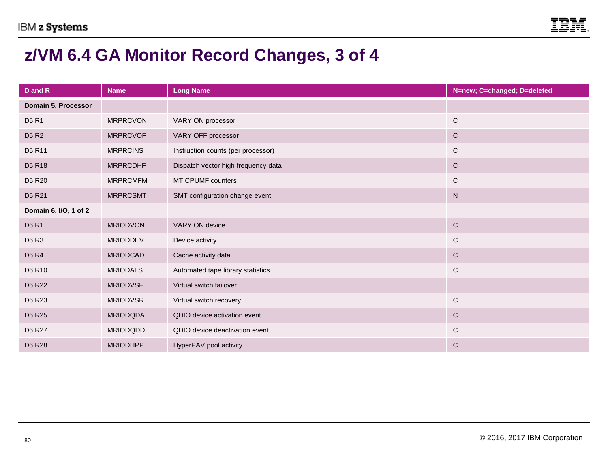

#### **z/VM 6.4 GA Monitor Record Changes, 3 of 4**

| D and R                        | <b>Name</b>     | <b>Long Name</b>                    | N=new; C=changed; D=deleted |
|--------------------------------|-----------------|-------------------------------------|-----------------------------|
| Domain 5, Processor            |                 |                                     |                             |
| D <sub>5</sub> R <sub>1</sub>  | <b>MRPRCVON</b> | VARY ON processor                   | $\mathsf C$                 |
| <b>D5 R2</b>                   | <b>MRPRCVOF</b> | VARY OFF processor                  | $\mathsf{C}$                |
| D5 R11                         | <b>MRPRCINS</b> | Instruction counts (per processor)  | $\mathbf C$                 |
| D <sub>5</sub> R <sub>18</sub> | <b>MRPRCDHF</b> | Dispatch vector high frequency data | $\mathbf C$                 |
| D <sub>5</sub> R <sub>20</sub> | <b>MRPRCMFM</b> | MT CPUMF counters                   | C                           |
| D <sub>5</sub> R <sub>21</sub> | <b>MRPRCSMT</b> | SMT configuration change event      | ${\sf N}$                   |
| Domain 6, I/O, 1 of 2          |                 |                                     |                             |
| <b>D6 R1</b>                   | <b>MRIODVON</b> | VARY ON device                      | $\mathsf C$                 |
| D6 R3                          | <b>MRIODDEV</b> | Device activity                     | C                           |
| <b>D6 R4</b>                   | <b>MRIODCAD</b> | Cache activity data                 | $\mathsf C$                 |
| D6 R10                         | <b>MRIODALS</b> | Automated tape library statistics   | $\mathsf C$                 |
| D6 R22                         | <b>MRIODVSF</b> | Virtual switch failover             |                             |
| D6 R23                         | <b>MRIODVSR</b> | Virtual switch recovery             | $\mathsf{C}$                |
| D6 R25                         | <b>MRIODQDA</b> | QDIO device activation event        | $\mathsf C$                 |
| D6 R27                         | <b>MRIODQDD</b> | QDIO device deactivation event      | $\mathsf{C}$                |
| D6 R28                         | <b>MRIODHPP</b> | HyperPAV pool activity              | $\mathsf{C}$                |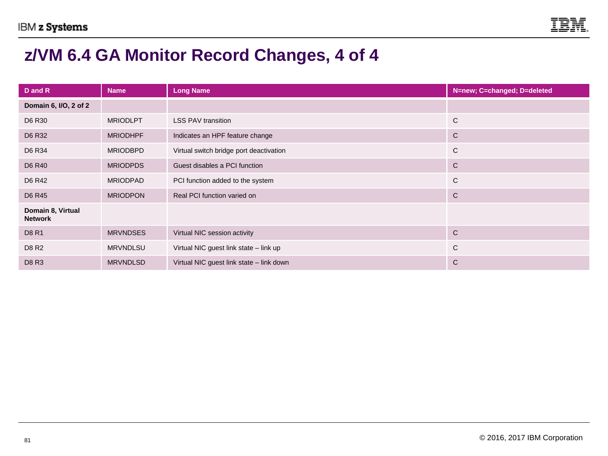

#### **z/VM 6.4 GA Monitor Record Changes, 4 of 4**

| D and R                             | <b>Name</b>     | <b>Long Name</b>                         | N=new; C=changed; D=deleted |
|-------------------------------------|-----------------|------------------------------------------|-----------------------------|
| Domain 6, I/O, 2 of 2               |                 |                                          |                             |
| D6 R30                              | <b>MRIODLPT</b> | <b>LSS PAV transition</b>                | C                           |
| D6 R32                              | <b>MRIODHPF</b> | Indicates an HPF feature change          | C                           |
| D6 R34                              | <b>MRIODBPD</b> | Virtual switch bridge port deactivation  | $\mathsf{C}$                |
| D6 R40                              | <b>MRIODPDS</b> | Guest disables a PCI function            | $\mathsf{C}$                |
| D6 R42                              | <b>MRIODPAD</b> | PCI function added to the system         | $\mathsf{C}$                |
| D6 R45                              | <b>MRIODPON</b> | Real PCI function varied on              | $\mathsf{C}$                |
| Domain 8, Virtual<br><b>Network</b> |                 |                                          |                             |
| D8 R1                               | <b>MRVNDSES</b> | Virtual NIC session activity             | $\mathsf{C}$                |
| D8 R2                               | <b>MRVNDLSU</b> | Virtual NIC guest link state - link up   | C                           |
| <b>D8 R3</b>                        | <b>MRVNDLSD</b> | Virtual NIC guest link state - link down | C                           |